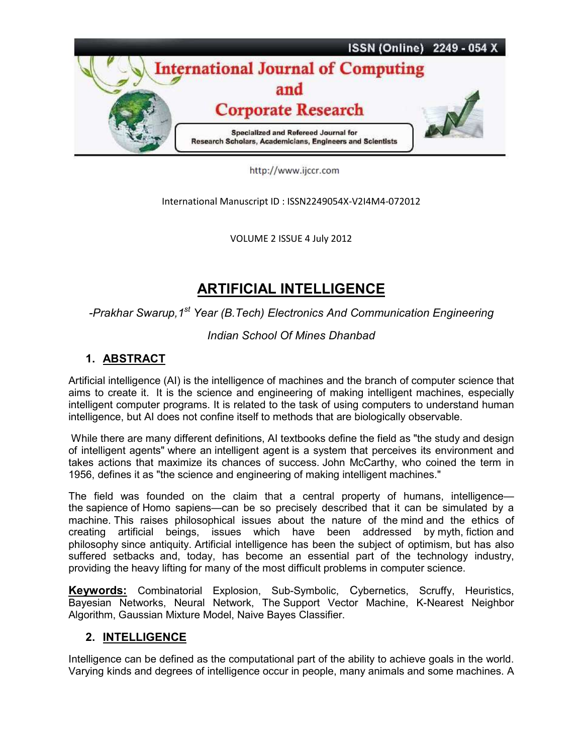

International Manuscript ID : ISSN2249054X-V2I4M4-072012

VOLUME 2 ISSUE 4 July 2012

# **ARTIFICIAL INTELLIGENCE**

*-Prakhar Swarup,1st Year (B.Tech) Electronics And Communication Engineering* 

## *Indian School Of Mines Dhanbad*

## **1. ABSTRACT**

Artificial intelligence (AI) is the intelligence of machines and the branch of computer science that aims to create it. It is the science and engineering of making intelligent machines, especially intelligent computer programs. It is related to the task of using computers to understand human intelligence, but AI does not confine itself to methods that are biologically observable.

 While there are many different definitions, AI textbooks define the field as "the study and design of intelligent agents" where an intelligent agent is a system that perceives its environment and takes actions that maximize its chances of success. John McCarthy, who coined the term in 1956, defines it as "the science and engineering of making intelligent machines."

The field was founded on the claim that a central property of humans, intelligence the sapience of Homo sapiens—can be so precisely described that it can be simulated by a machine. This raises philosophical issues about the nature of the mind and the ethics of creating artificial beings, issues which have been addressed by myth, fiction and philosophy since antiquity. Artificial intelligence has been the subject of optimism, but has also suffered setbacks and, today, has become an essential part of the technology industry, providing the heavy lifting for many of the most difficult problems in computer science.

**Keywords:** Combinatorial Explosion, Sub-Symbolic, Cybernetics, Scruffy, Heuristics, Bayesian Networks, Neural Network, The Support Vector Machine, K-Nearest Neighbor Algorithm, Gaussian Mixture Model, Naive Bayes Classifier.

## **2. INTELLIGENCE**

Intelligence can be defined as the computational part of the ability to achieve goals in the world. Varying kinds and degrees of intelligence occur in people, many animals and some machines. A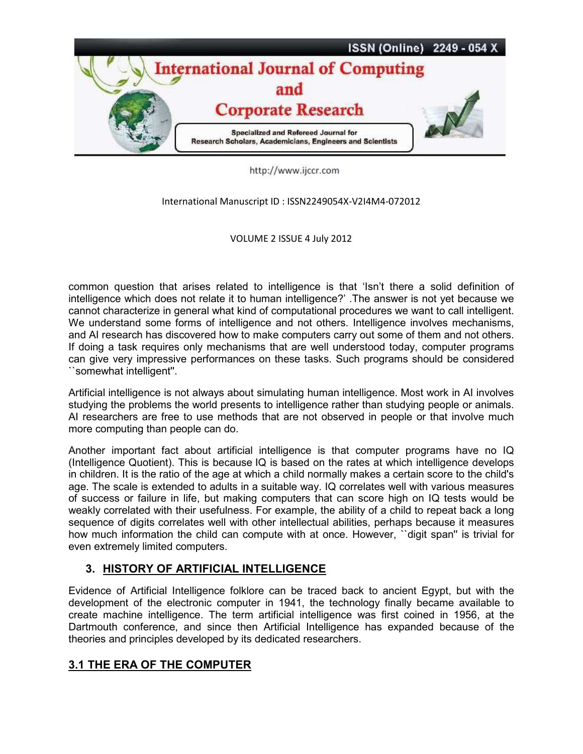

#### International Manuscript ID : ISSN2249054X-V2I4M4-072012

VOLUME 2 ISSUE 4 July 2012

common question that arises related to intelligence is that 'Isn't there a solid definition of intelligence which does not relate it to human intelligence?' .The answer is not yet because we cannot characterize in general what kind of computational procedures we want to call intelligent. We understand some forms of intelligence and not others. Intelligence involves mechanisms, and AI research has discovered how to make computers carry out some of them and not others. If doing a task requires only mechanisms that are well understood today, computer programs can give very impressive performances on these tasks. Such programs should be considered ``somewhat intelligent''.

Artificial intelligence is not always about simulating human intelligence. Most work in AI involves studying the problems the world presents to intelligence rather than studying people or animals. AI researchers are free to use methods that are not observed in people or that involve much more computing than people can do.

Another important fact about artificial intelligence is that computer programs have no IQ (Intelligence Quotient). This is because IQ is based on the rates at which intelligence develops in children. It is the ratio of the age at which a child normally makes a certain score to the child's age. The scale is extended to adults in a suitable way. IQ correlates well with various measures of success or failure in life, but making computers that can score high on IQ tests would be weakly correlated with their usefulness. For example, the ability of a child to repeat back a long sequence of digits correlates well with other intellectual abilities, perhaps because it measures how much information the child can compute with at once. However, "digit span" is trivial for even extremely limited computers.

## **3. HISTORY OF ARTIFICIAL INTELLIGENCE**

Evidence of Artificial Intelligence folklore can be traced back to ancient Egypt, but with the development of the electronic computer in 1941, the technology finally became available to create machine intelligence. The term artificial intelligence was first coined in 1956, at the Dartmouth conference, and since then Artificial Intelligence has expanded because of the theories and principles developed by its dedicated researchers.

## **3.1 THE ERA OF THE COMPUTER**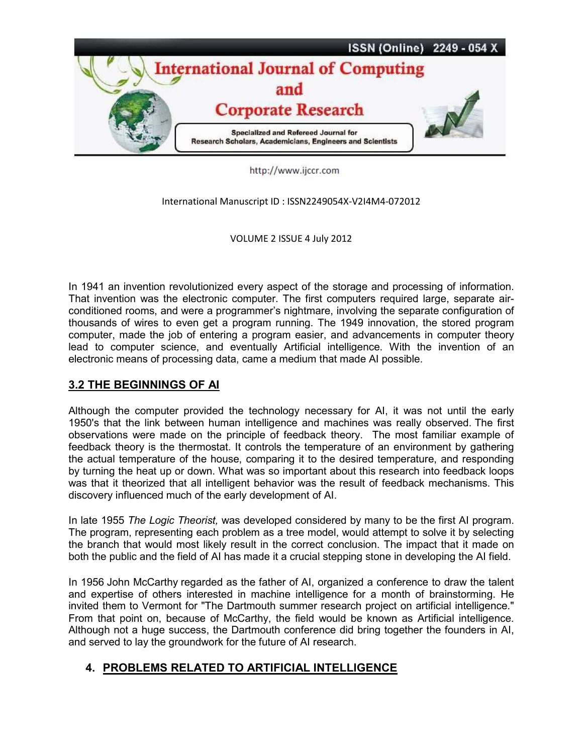

International Manuscript ID : ISSN2249054X-V2I4M4-072012

VOLUME 2 ISSUE 4 July 2012

In 1941 an invention revolutionized every aspect of the storage and processing of information. That invention was the electronic computer. The first computers required large, separate airconditioned rooms, and were a programmer's nightmare, involving the separate configuration of thousands of wires to even get a program running. The 1949 innovation, the stored program computer, made the job of entering a program easier, and advancements in computer theory lead to computer science, and eventually Artificial intelligence. With the invention of an electronic means of processing data, came a medium that made AI possible.

## **3.2 THE BEGINNINGS OF AI**

Although the computer provided the technology necessary for AI, it was not until the early 1950's that the link between human intelligence and machines was really observed. The first observations were made on the principle of feedback theory. The most familiar example of feedback theory is the thermostat. It controls the temperature of an environment by gathering the actual temperature of the house, comparing it to the desired temperature, and responding by turning the heat up or down. What was so important about this research into feedback loops was that it theorized that all intelligent behavior was the result of feedback mechanisms. This discovery influenced much of the early development of AI.

In late 1955 *The Logic Theorist,* was developed considered by many to be the first AI program. The program, representing each problem as a tree model, would attempt to solve it by selecting the branch that would most likely result in the correct conclusion. The impact that it made on both the public and the field of AI has made it a crucial stepping stone in developing the AI field.

In 1956 John McCarthy regarded as the father of AI, organized a conference to draw the talent and expertise of others interested in machine intelligence for a month of brainstorming. He invited them to Vermont for "The Dartmouth summer research project on artificial intelligence." From that point on, because of McCarthy, the field would be known as Artificial intelligence. Although not a huge success, the Dartmouth conference did bring together the founders in AI, and served to lay the groundwork for the future of AI research.

## **4. PROBLEMS RELATED TO ARTIFICIAL INTELLIGENCE**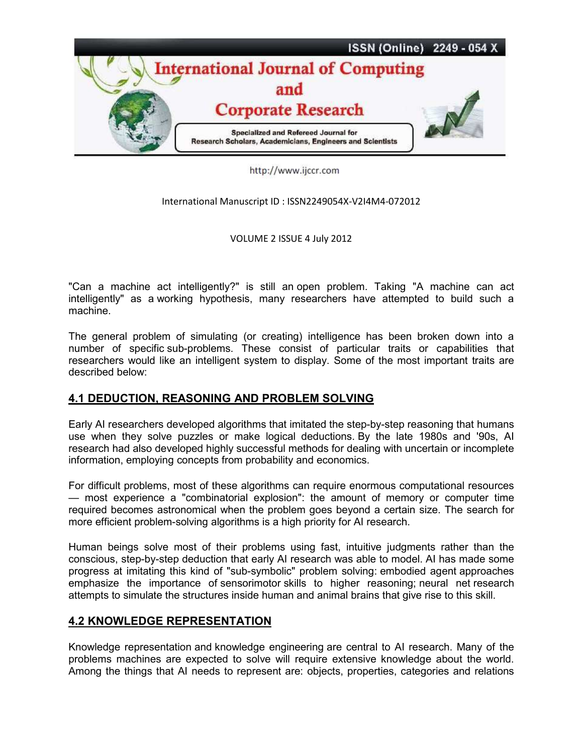

#### International Manuscript ID : ISSN2249054X-V2I4M4-072012

VOLUME 2 ISSUE 4 July 2012

"Can a machine act intelligently?" is still an open problem. Taking "A machine can act intelligently" as a working hypothesis, many researchers have attempted to build such a machine.

The general problem of simulating (or creating) intelligence has been broken down into a number of specific sub-problems. These consist of particular traits or capabilities that researchers would like an intelligent system to display. Some of the most important traits are described below:

## **4.1 DEDUCTION, REASONING AND PROBLEM SOLVING**

Early AI researchers developed algorithms that imitated the step-by-step reasoning that humans use when they solve puzzles or make logical deductions. By the late 1980s and '90s, AI research had also developed highly successful methods for dealing with uncertain or incomplete information, employing concepts from probability and economics.

For difficult problems, most of these algorithms can require enormous computational resources — most experience a "combinatorial explosion": the amount of memory or computer time required becomes astronomical when the problem goes beyond a certain size. The search for more efficient problem-solving algorithms is a high priority for AI research.

Human beings solve most of their problems using fast, intuitive judgments rather than the conscious, step-by-step deduction that early AI research was able to model. AI has made some progress at imitating this kind of "sub-symbolic" problem solving: embodied agent approaches emphasize the importance of sensorimotor skills to higher reasoning; neural net research attempts to simulate the structures inside human and animal brains that give rise to this skill.

## **4.2 KNOWLEDGE REPRESENTATION**

Knowledge representation and knowledge engineering are central to AI research. Many of the problems machines are expected to solve will require extensive knowledge about the world. Among the things that AI needs to represent are: objects, properties, categories and relations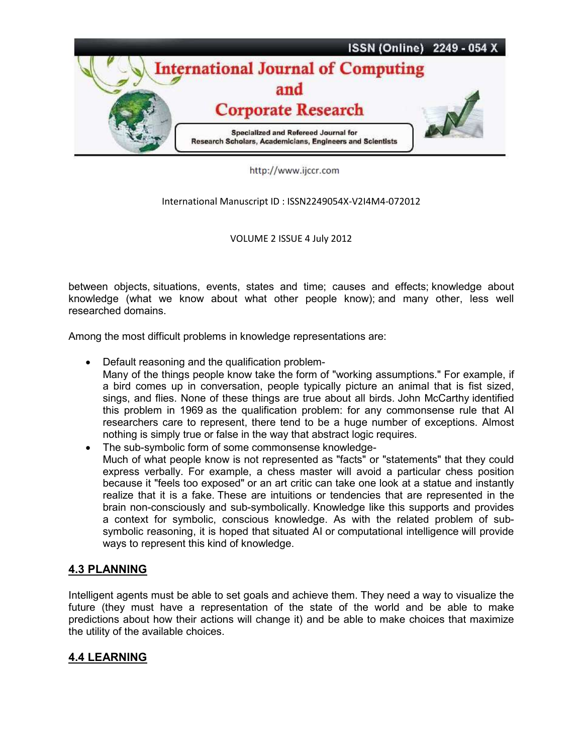

#### International Manuscript ID : ISSN2249054X-V2I4M4-072012

VOLUME 2 ISSUE 4 July 2012

between objects, situations, events, states and time; causes and effects; knowledge about knowledge (what we know about what other people know); and many other, less well researched domains.

Among the most difficult problems in knowledge representations are:

- Default reasoning and the qualification problem-Many of the things people know take the form of "working assumptions." For example, if a bird comes up in conversation, people typically picture an animal that is fist sized, sings, and flies. None of these things are true about all birds. John McCarthy identified this problem in 1969 as the qualification problem: for any commonsense rule that AI researchers care to represent, there tend to be a huge number of exceptions. Almost nothing is simply true or false in the way that abstract logic requires.
- The sub-symbolic form of some commonsense knowledge-Much of what people know is not represented as "facts" or "statements" that they could express verbally. For example, a chess master will avoid a particular chess position because it "feels too exposed" or an art critic can take one look at a statue and instantly realize that it is a fake. These are intuitions or tendencies that are represented in the brain non-consciously and sub-symbolically. Knowledge like this supports and provides a context for symbolic, conscious knowledge. As with the related problem of subsymbolic reasoning, it is hoped that situated AI or computational intelligence will provide ways to represent this kind of knowledge.

## **4.3 PLANNING**

Intelligent agents must be able to set goals and achieve them. They need a way to visualize the future (they must have a representation of the state of the world and be able to make predictions about how their actions will change it) and be able to make choices that maximize the utility of the available choices.

## **4.4 LEARNING**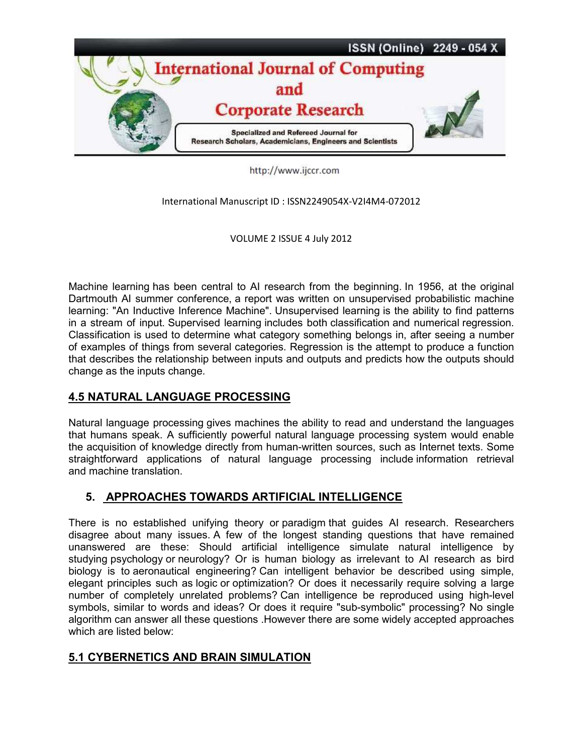

International Manuscript ID : ISSN2249054X-V2I4M4-072012

VOLUME 2 ISSUE 4 July 2012

Machine learning has been central to AI research from the beginning. In 1956, at the original Dartmouth AI summer conference, a report was written on unsupervised probabilistic machine learning: "An Inductive Inference Machine". Unsupervised learning is the ability to find patterns in a stream of input. Supervised learning includes both classification and numerical regression. Classification is used to determine what category something belongs in, after seeing a number of examples of things from several categories. Regression is the attempt to produce a function that describes the relationship between inputs and outputs and predicts how the outputs should change as the inputs change.

## **4.5 NATURAL LANGUAGE PROCESSING**

Natural language processing gives machines the ability to read and understand the languages that humans speak. A sufficiently powerful natural language processing system would enable the acquisition of knowledge directly from human-written sources, such as Internet texts. Some straightforward applications of natural language processing include information retrieval and machine translation.

## **5. APPROACHES TOWARDS ARTIFICIAL INTELLIGENCE**

There is no established unifying theory or paradigm that guides AI research. Researchers disagree about many issues. A few of the longest standing questions that have remained unanswered are these: Should artificial intelligence simulate natural intelligence by studying psychology or neurology? Or is human biology as irrelevant to AI research as bird biology is to aeronautical engineering? Can intelligent behavior be described using simple, elegant principles such as logic or optimization? Or does it necessarily require solving a large number of completely unrelated problems? Can intelligence be reproduced using high-level symbols, similar to words and ideas? Or does it require "sub-symbolic" processing? No single algorithm can answer all these questions .However there are some widely accepted approaches which are listed below:

## **5.1 CYBERNETICS AND BRAIN SIMULATION**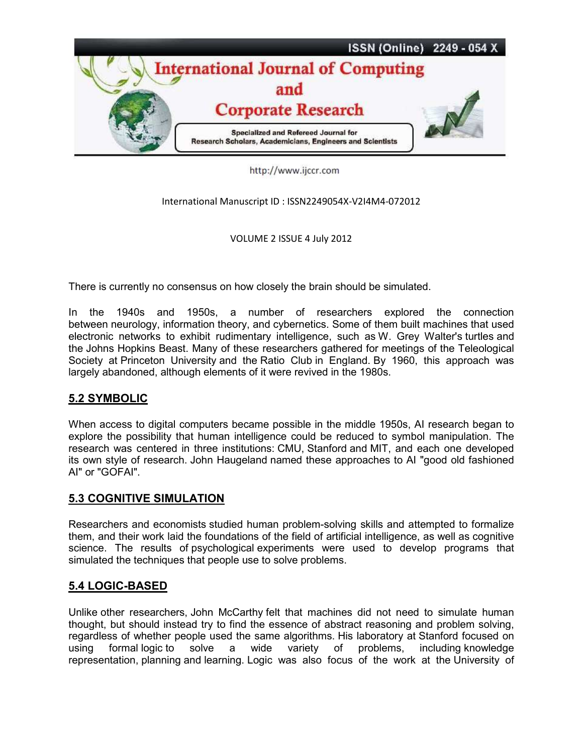

International Manuscript ID : ISSN2249054X-V2I4M4-072012

VOLUME 2 ISSUE 4 July 2012

There is currently no consensus on how closely the brain should be simulated.

In the 1940s and 1950s, a number of researchers explored the connection between neurology, information theory, and cybernetics. Some of them built machines that used electronic networks to exhibit rudimentary intelligence, such as W. Grey Walter's turtles and the Johns Hopkins Beast. Many of these researchers gathered for meetings of the Teleological Society at Princeton University and the Ratio Club in England. By 1960, this approach was largely abandoned, although elements of it were revived in the 1980s.

## **5.2 SYMBOLIC**

When access to digital computers became possible in the middle 1950s, AI research began to explore the possibility that human intelligence could be reduced to symbol manipulation. The research was centered in three institutions: CMU, Stanford and MIT, and each one developed its own style of research. John Haugeland named these approaches to AI "good old fashioned AI" or "GOFAI".

## **5.3 COGNITIVE SIMULATION**

Researchers and economists studied human problem-solving skills and attempted to formalize them, and their work laid the foundations of the field of artificial intelligence, as well as cognitive science. The results of psychological experiments were used to develop programs that simulated the techniques that people use to solve problems.

## **5.4 LOGIC-BASED**

Unlike other researchers, John McCarthy felt that machines did not need to simulate human thought, but should instead try to find the essence of abstract reasoning and problem solving, regardless of whether people used the same algorithms. His laboratory at Stanford focused on using formal logic to solve a wide variety of problems, including knowledge representation, planning and learning. Logic was also focus of the work at the University of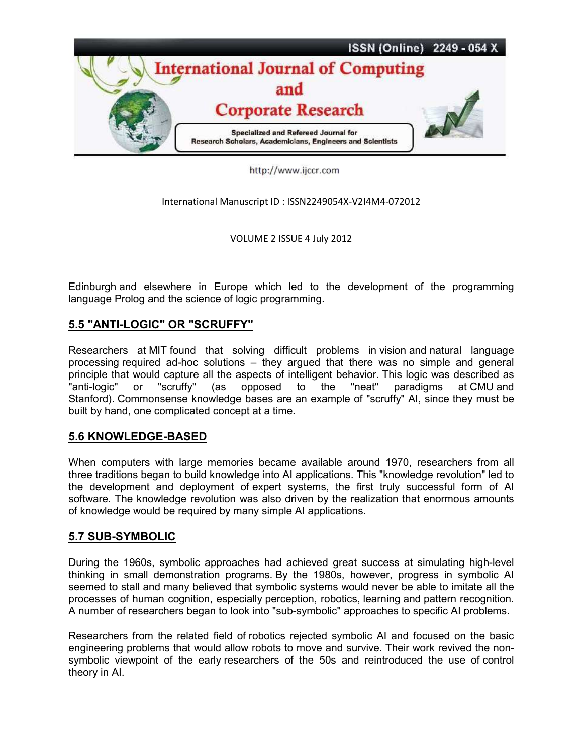

#### International Manuscript ID : ISSN2249054X-V2I4M4-072012

VOLUME 2 ISSUE 4 July 2012

Edinburgh and elsewhere in Europe which led to the development of the programming language Prolog and the science of logic programming.

## **5.5 "ANTI-LOGIC" OR "SCRUFFY"**

Researchers at MIT found that solving difficult problems in vision and natural language processing required ad-hoc solutions – they argued that there was no simple and general principle that would capture all the aspects of intelligent behavior. This logic was described as "anti-logic" or "scruffy" (as opposed to the "neat" paradigms at CMU and Stanford). Commonsense knowledge bases are an example of "scruffy" AI, since they must be built by hand, one complicated concept at a time.

## **5.6 KNOWLEDGE-BASED**

When computers with large memories became available around 1970, researchers from all three traditions began to build knowledge into AI applications. This "knowledge revolution" led to the development and deployment of expert systems, the first truly successful form of AI software. The knowledge revolution was also driven by the realization that enormous amounts of knowledge would be required by many simple AI applications.

## **5.7 SUB-SYMBOLIC**

During the 1960s, symbolic approaches had achieved great success at simulating high-level thinking in small demonstration programs. By the 1980s, however, progress in symbolic AI seemed to stall and many believed that symbolic systems would never be able to imitate all the processes of human cognition, especially perception, robotics, learning and pattern recognition. A number of researchers began to look into "sub-symbolic" approaches to specific AI problems.

Researchers from the related field of robotics rejected symbolic AI and focused on the basic engineering problems that would allow robots to move and survive. Their work revived the nonsymbolic viewpoint of the early researchers of the 50s and reintroduced the use of control theory in AI.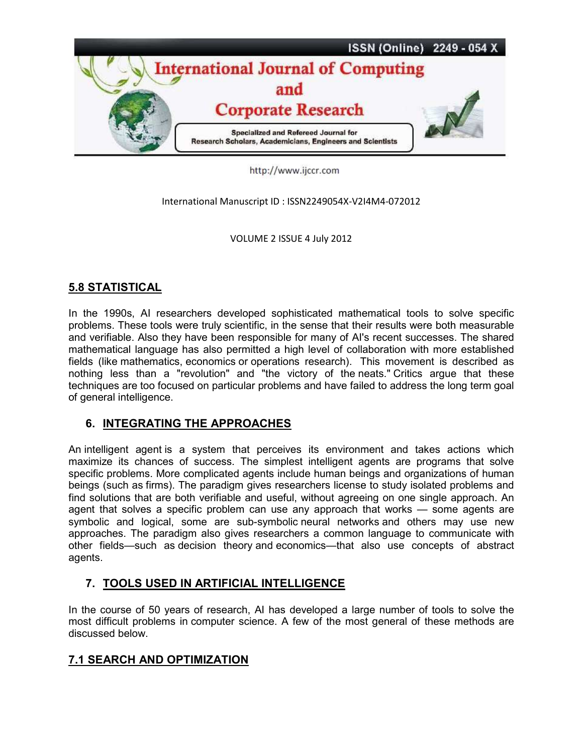

International Manuscript ID : ISSN2249054X-V2I4M4-072012

VOLUME 2 ISSUE 4 July 2012

## **5.8 STATISTICAL**

In the 1990s, AI researchers developed sophisticated mathematical tools to solve specific problems. These tools were truly scientific, in the sense that their results were both measurable and verifiable. Also they have been responsible for many of AI's recent successes. The shared mathematical language has also permitted a high level of collaboration with more established fields (like mathematics, economics or operations research). This movement is described as nothing less than a "revolution" and "the victory of the neats." Critics argue that these techniques are too focused on particular problems and have failed to address the long term goal of general intelligence.

## **6. INTEGRATING THE APPROACHES**

An intelligent agent is a system that perceives its environment and takes actions which maximize its chances of success. The simplest intelligent agents are programs that solve specific problems. More complicated agents include human beings and organizations of human beings (such as firms). The paradigm gives researchers license to study isolated problems and find solutions that are both verifiable and useful, without agreeing on one single approach. An agent that solves a specific problem can use any approach that works — some agents are symbolic and logical, some are sub-symbolic neural networks and others may use new approaches. The paradigm also gives researchers a common language to communicate with other fields—such as decision theory and economics—that also use concepts of abstract agents.

## **7. TOOLS USED IN ARTIFICIAL INTELLIGENCE**

In the course of 50 years of research, AI has developed a large number of tools to solve the most difficult problems in computer science. A few of the most general of these methods are discussed below.

## **7.1 SEARCH AND OPTIMIZATION**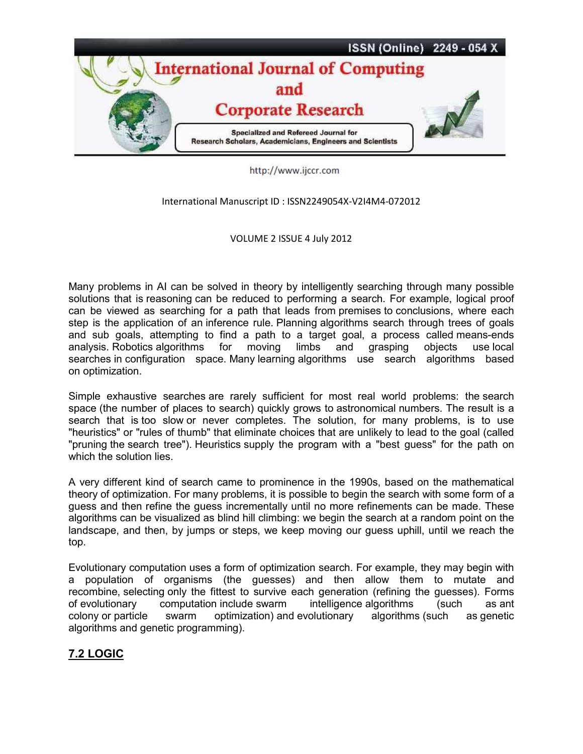

#### International Manuscript ID : ISSN2249054X-V2I4M4-072012

VOLUME 2 ISSUE 4 July 2012

Many problems in AI can be solved in theory by intelligently searching through many possible solutions that is reasoning can be reduced to performing a search. For example, logical proof can be viewed as searching for a path that leads from premises to conclusions, where each step is the application of an inference rule. Planning algorithms search through trees of goals and sub goals, attempting to find a path to a target goal, a process called means-ends analysis. Robotics algorithms for moving limbs and grasping objects use local searches in configuration space. Many learning algorithms use search algorithms based on optimization.

Simple exhaustive searches are rarely sufficient for most real world problems: the search space (the number of places to search) quickly grows to astronomical numbers. The result is a search that is too slow or never completes. The solution, for many problems, is to use "heuristics" or "rules of thumb" that eliminate choices that are unlikely to lead to the goal (called "pruning the search tree"). Heuristics supply the program with a "best guess" for the path on which the solution lies.

A very different kind of search came to prominence in the 1990s, based on the mathematical theory of optimization. For many problems, it is possible to begin the search with some form of a guess and then refine the guess incrementally until no more refinements can be made. These algorithms can be visualized as blind hill climbing: we begin the search at a random point on the landscape, and then, by jumps or steps, we keep moving our guess uphill, until we reach the top.

Evolutionary computation uses a form of optimization search. For example, they may begin with a population of organisms (the guesses) and then allow them to mutate and recombine, selecting only the fittest to survive each generation (refining the guesses). Forms of evolutionary computation include swarm intelligence algorithms (such as ant colony or particle swarm optimization) and evolutionary algorithms (such as genetic algorithms and genetic programming).

## **7.2 LOGIC**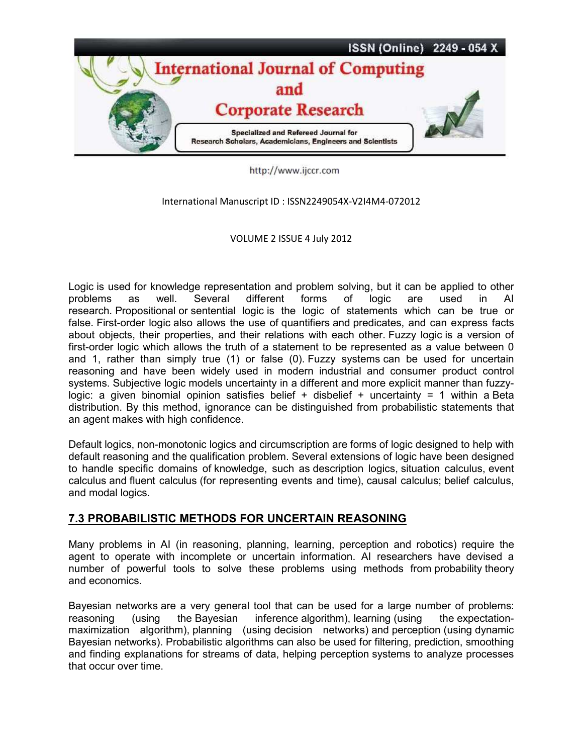

#### International Manuscript ID : ISSN2249054X-V2I4M4-072012

VOLUME 2 ISSUE 4 July 2012

Logic is used for knowledge representation and problem solving, but it can be applied to other problems as well. Several different forms of logic are used in AI research. Propositional or sentential logic is the logic of statements which can be true or false. First-order logic also allows the use of quantifiers and predicates, and can express facts about objects, their properties, and their relations with each other. Fuzzy logic is a version of first-order logic which allows the truth of a statement to be represented as a value between 0 and 1, rather than simply true (1) or false (0). Fuzzy systems can be used for uncertain reasoning and have been widely used in modern industrial and consumer product control systems. Subjective logic models uncertainty in a different and more explicit manner than fuzzylogic: a given binomial opinion satisfies belief  $+$  disbelief  $+$  uncertainty  $=$  1 within a Beta distribution. By this method, ignorance can be distinguished from probabilistic statements that an agent makes with high confidence.

Default logics, non-monotonic logics and circumscription are forms of logic designed to help with default reasoning and the qualification problem. Several extensions of logic have been designed to handle specific domains of knowledge, such as description logics, situation calculus, event calculus and fluent calculus (for representing events and time), causal calculus; belief calculus, and modal logics.

#### **7.3 PROBABILISTIC METHODS FOR UNCERTAIN REASONING**

Many problems in AI (in reasoning, planning, learning, perception and robotics) require the agent to operate with incomplete or uncertain information. AI researchers have devised a number of powerful tools to solve these problems using methods from probability theory and economics.

Bayesian networks are a very general tool that can be used for a large number of problems: reasoning (using the Bayesian inference algorithm), learning (using the expectationmaximization algorithm), planning (using decision networks) and perception (using dynamic Bayesian networks). Probabilistic algorithms can also be used for filtering, prediction, smoothing and finding explanations for streams of data, helping perception systems to analyze processes that occur over time.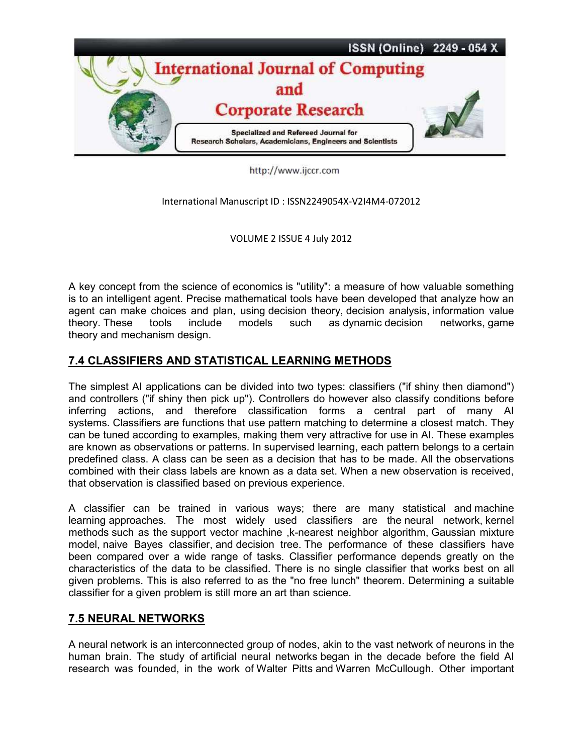

International Manuscript ID : ISSN2249054X-V2I4M4-072012

VOLUME 2 ISSUE 4 July 2012

A key concept from the science of economics is "utility": a measure of how valuable something is to an intelligent agent. Precise mathematical tools have been developed that analyze how an agent can make choices and plan, using decision theory, decision analysis, information value<br>theory. These tools include models such as dynamic decision networks game theory. These tools include models such as dynamic decision networks, game theory and mechanism design.

## **7.4 CLASSIFIERS AND STATISTICAL LEARNING METHODS**

The simplest AI applications can be divided into two types: classifiers ("if shiny then diamond") and controllers ("if shiny then pick up"). Controllers do however also classify conditions before inferring actions, and therefore classification forms a central part of many AI systems. Classifiers are functions that use pattern matching to determine a closest match. They can be tuned according to examples, making them very attractive for use in AI. These examples are known as observations or patterns. In supervised learning, each pattern belongs to a certain predefined class. A class can be seen as a decision that has to be made. All the observations combined with their class labels are known as a data set. When a new observation is received, that observation is classified based on previous experience.

A classifier can be trained in various ways; there are many statistical and machine learning approaches. The most widely used classifiers are the neural network, kernel methods such as the support vector machine ,k-nearest neighbor algorithm, Gaussian mixture model, naive Bayes classifier, and decision tree. The performance of these classifiers have been compared over a wide range of tasks. Classifier performance depends greatly on the characteristics of the data to be classified. There is no single classifier that works best on all given problems. This is also referred to as the "no free lunch" theorem. Determining a suitable classifier for a given problem is still more an art than science.

## **7.5 NEURAL NETWORKS**

A neural network is an interconnected group of nodes, akin to the vast network of neurons in the human brain. The study of artificial neural networks began in the decade before the field AI research was founded, in the work of Walter Pitts and Warren McCullough. Other important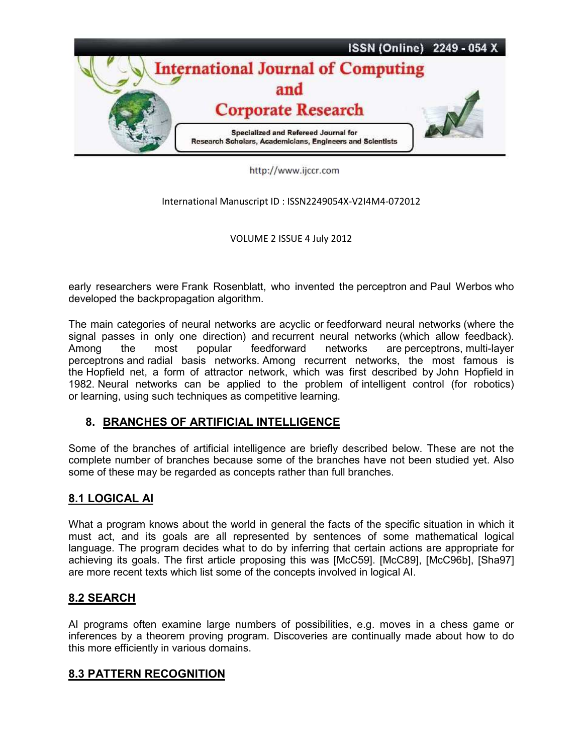

International Manuscript ID : ISSN2249054X-V2I4M4-072012

VOLUME 2 ISSUE 4 July 2012

early researchers were Frank Rosenblatt, who invented the perceptron and Paul Werbos who developed the backpropagation algorithm.

The main categories of neural networks are acyclic or feedforward neural networks (where the signal passes in only one direction) and recurrent neural networks (which allow feedback). Among the most popular feedforward networks are perceptrons, multi-layer perceptrons and radial basis networks. Among recurrent networks, the most famous is the Hopfield net, a form of attractor network, which was first described by John Hopfield in 1982. Neural networks can be applied to the problem of intelligent control (for robotics) or learning, using such techniques as competitive learning.

## **8. BRANCHES OF ARTIFICIAL INTELLIGENCE**

Some of the branches of artificial intelligence are briefly described below. These are not the complete number of branches because some of the branches have not been studied yet. Also some of these may be regarded as concepts rather than full branches.

## **8.1 LOGICAL AI**

What a program knows about the world in general the facts of the specific situation in which it must act, and its goals are all represented by sentences of some mathematical logical language. The program decides what to do by inferring that certain actions are appropriate for achieving its goals. The first article proposing this was [McC59]. [McC89], [McC96b], [Sha97] are more recent texts which list some of the concepts involved in logical AI.

#### **8.2 SEARCH**

AI programs often examine large numbers of possibilities, e.g. moves in a chess game or inferences by a theorem proving program. Discoveries are continually made about how to do this more efficiently in various domains.

#### **8.3 PATTERN RECOGNITION**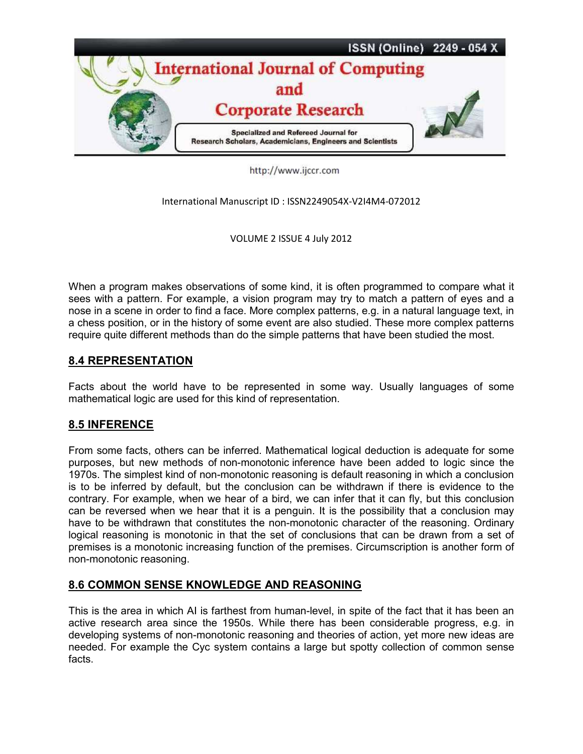

International Manuscript ID : ISSN2249054X-V2I4M4-072012

VOLUME 2 ISSUE 4 July 2012

When a program makes observations of some kind, it is often programmed to compare what it sees with a pattern. For example, a vision program may try to match a pattern of eyes and a nose in a scene in order to find a face. More complex patterns, e.g. in a natural language text, in a chess position, or in the history of some event are also studied. These more complex patterns require quite different methods than do the simple patterns that have been studied the most.

## **8.4 REPRESENTATION**

Facts about the world have to be represented in some way. Usually languages of some mathematical logic are used for this kind of representation.

## **8.5 INFERENCE**

From some facts, others can be inferred. Mathematical logical deduction is adequate for some purposes, but new methods of non-monotonic inference have been added to logic since the 1970s. The simplest kind of non-monotonic reasoning is default reasoning in which a conclusion is to be inferred by default, but the conclusion can be withdrawn if there is evidence to the contrary. For example, when we hear of a bird, we can infer that it can fly, but this conclusion can be reversed when we hear that it is a penguin. It is the possibility that a conclusion may have to be withdrawn that constitutes the non-monotonic character of the reasoning. Ordinary logical reasoning is monotonic in that the set of conclusions that can be drawn from a set of premises is a monotonic increasing function of the premises. Circumscription is another form of non-monotonic reasoning.

## **8.6 COMMON SENSE KNOWLEDGE AND REASONING**

This is the area in which AI is farthest from human-level, in spite of the fact that it has been an active research area since the 1950s. While there has been considerable progress, e.g. in developing systems of non-monotonic reasoning and theories of action, yet more new ideas are needed. For example the Cyc system contains a large but spotty collection of common sense facts.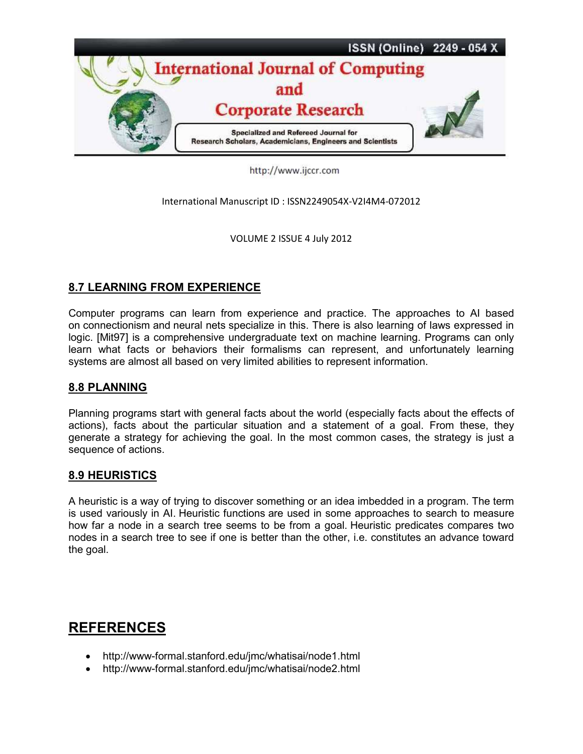

International Manuscript ID : ISSN2249054X-V2I4M4-072012

VOLUME 2 ISSUE 4 July 2012

## **8.7 LEARNING FROM EXPERIENCE**

Computer programs can learn from experience and practice. The approaches to AI based on connectionism and neural nets specialize in this. There is also learning of laws expressed in logic. [Mit97] is a comprehensive undergraduate text on machine learning. Programs can only learn what facts or behaviors their formalisms can represent, and unfortunately learning systems are almost all based on very limited abilities to represent information.

## **8.8 PLANNING**

Planning programs start with general facts about the world (especially facts about the effects of actions), facts about the particular situation and a statement of a goal. From these, they generate a strategy for achieving the goal. In the most common cases, the strategy is just a sequence of actions.

## **8.9 HEURISTICS**

A heuristic is a way of trying to discover something or an idea imbedded in a program. The term is used variously in AI. Heuristic functions are used in some approaches to search to measure how far a node in a search tree seems to be from a goal. Heuristic predicates compares two nodes in a search tree to see if one is better than the other, i.e. constitutes an advance toward the goal.

## **REFERENCES**

- http://www-formal.stanford.edu/jmc/whatisai/node1.html
- http://www-formal.stanford.edu/jmc/whatisai/node2.html